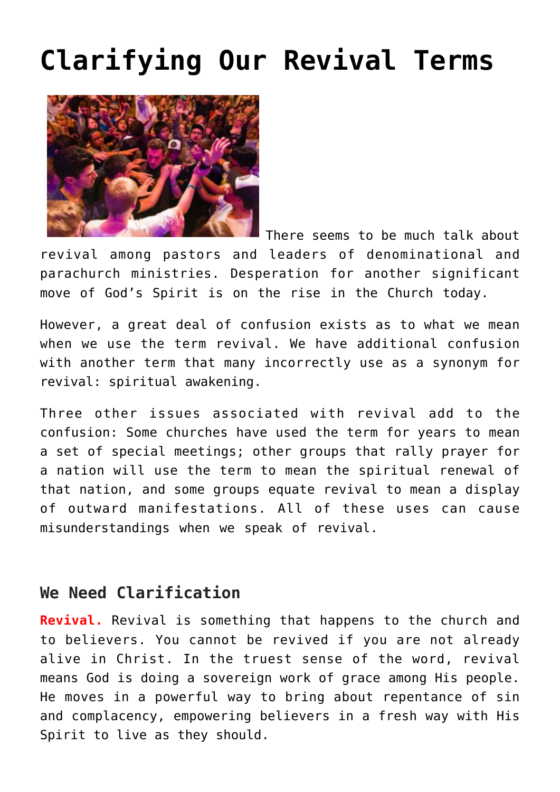## **[Clarifying Our Revival Terms](https://www.prayerleader.com/in-one-accord-7/)**



There seems to be much talk about

revival among pastors and leaders of denominational and parachurch ministries. Desperation for another significant move of God's Spirit is on the rise in the Church today.

However, a great deal of confusion exists as to what we mean when we use the term revival. We have additional confusion with another term that many incorrectly use as a synonym for revival: spiritual awakening.

Three other issues associated with revival add to the confusion: Some churches have used the term for years to mean a set of special meetings; other groups that rally prayer for a nation will use the term to mean the spiritual renewal of that nation, and some groups equate revival to mean a display of outward manifestations. All of these uses can cause misunderstandings when we speak of revival.

## **We Need Clarification**

**Revival.** Revival is something that happens to the church and to believers. You cannot be revived if you are not already alive in Christ. In the truest sense of the word, revival means God is doing a sovereign work of grace among His people. He moves in a powerful way to bring about repentance of sin and complacency, empowering believers in a fresh way with His Spirit to live as they should.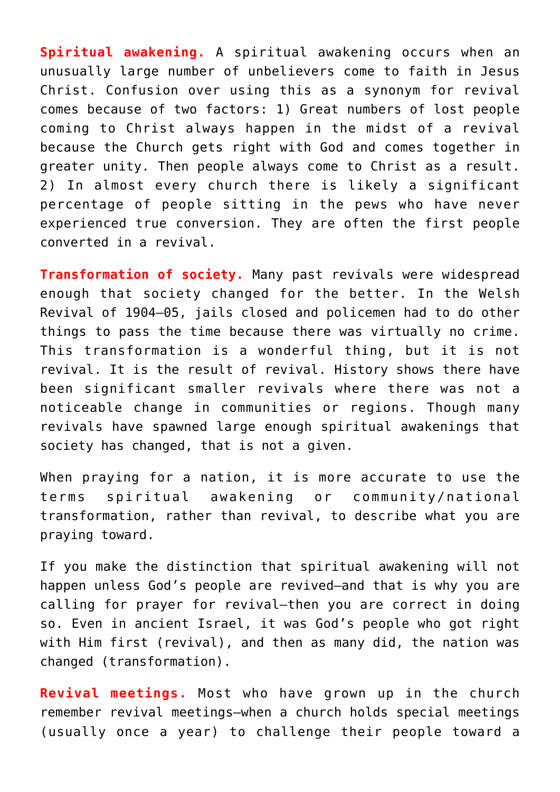**Spiritual awakening.** A spiritual awakening occurs when an unusually large number of unbelievers come to faith in Jesus Christ. Confusion over using this as a synonym for revival comes because of two factors: 1) Great numbers of lost people coming to Christ always happen in the midst of a revival because the Church gets right with God and comes together in greater unity. Then people always come to Christ as a result. 2) In almost every church there is likely a significant percentage of people sitting in the pews who have never experienced true conversion. They are often the first people converted in a revival.

**Transformation of society.** Many past revivals were widespread enough that society changed for the better. In the Welsh Revival of 1904–05, jails closed and policemen had to do other things to pass the time because there was virtually no crime. This transformation is a wonderful thing, but it is not revival. It is the result of revival. History shows there have been significant smaller revivals where there was not a noticeable change in communities or regions. Though many revivals have spawned large enough spiritual awakenings that society has changed, that is not a given.

When praying for a nation, it is more accurate to use the terms spiritual awakening or community/national transformation, rather than revival, to describe what you are praying toward.

If you make the distinction that spiritual awakening will not happen unless God's people are revived—and that is why you are calling for prayer for revival—then you are correct in doing so. Even in ancient Israel, it was God's people who got right with Him first (revival), and then as many did, the nation was changed (transformation).

**Revival meetings.** Most who have grown up in the church remember revival meetings—when a church holds special meetings (usually once a year) to challenge their people toward a